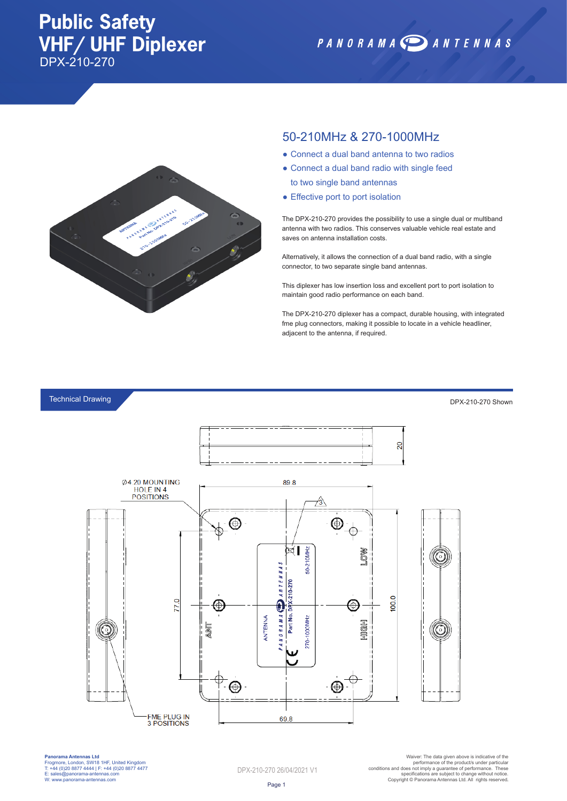## **Public Safety VHF/ UHF Diplexer** DPX-210-270

PANORAMA DANTENNAS



### 50-210MHz & 270-1000MHz

- Connect a dual band antenna to two radios
- Connect a dual band radio with single feed to two single band antennas
- Effective port to port isolation

The DPX-210-270 provides the possibility to use a single dual or multiband antenna with two radios. This conserves valuable vehicle real estate and saves on antenna installation costs.

Alternatively, it allows the connection of a dual band radio, with a single connector, to two separate single band antennas.

This diplexer has low insertion loss and excellent port to port isolation to maintain good radio performance on each band.

The DPX-210-270 diplexer has a compact, durable housing, with integrated fme plug connectors, making it possible to locate in a vehicle headliner, adjacent to the antenna, if required.

#### Technical Drawing

DPX-210-270 Shown



**Panorama Antennas Ltd** Frogmore, London, SW18 1HF, United Kingdom T: +44 (0)20 8877 4444 | F: +44 (0)20 8877 4477 E: sales@panorama-antennas.com W: www.panorama-antennas.com

DPX-210-270 26/04/2021 V1

Warer: The data given above is indicative of the<br>performance of the product/s under particular<br>conditions and does not imply a guarantee of performance. These<br>specifications are subject to change without notice.<br>Copyright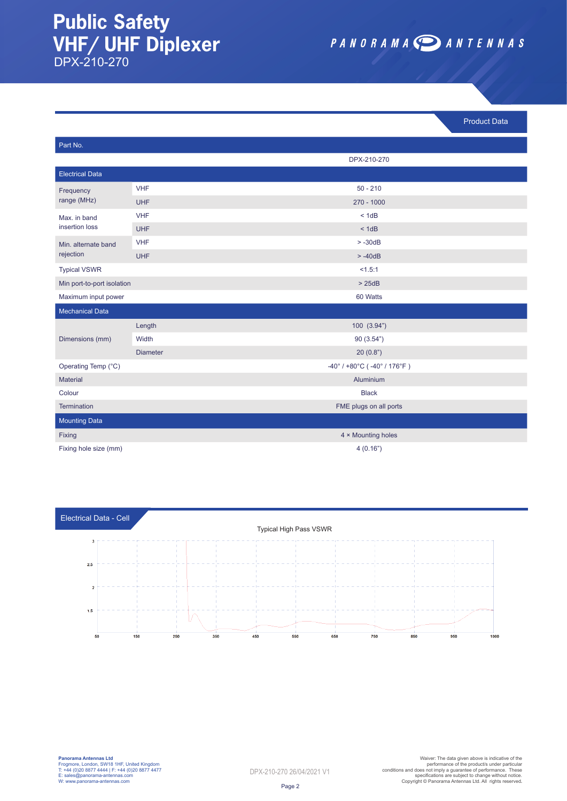### **Public Safety VHF/ UHF Diplexer** DPX-210-270

PANORAMA DANTENNAS

Product Data

| Part No.                         |                 |                                                                      |
|----------------------------------|-----------------|----------------------------------------------------------------------|
|                                  |                 | DPX-210-270                                                          |
| <b>Electrical Data</b>           |                 |                                                                      |
| Frequency<br>range (MHz)         | <b>VHF</b>      | $50 - 210$                                                           |
|                                  | <b>UHF</b>      | $270 - 1000$                                                         |
| Max. in band<br>insertion loss   | <b>VHF</b>      | < 1dB                                                                |
|                                  | <b>UHF</b>      | < 1dB                                                                |
| Min. alternate band<br>rejection | <b>VHF</b>      | $> -30dB$                                                            |
|                                  | <b>UHF</b>      | $> -40dB$                                                            |
| <b>Typical VSWR</b>              |                 | < 1.5:1                                                              |
| Min port-to-port isolation       |                 | > 25dB                                                               |
| Maximum input power              |                 | 60 Watts                                                             |
| <b>Mechanical Data</b>           |                 |                                                                      |
| Dimensions (mm)                  | Length          | 100(3.94")                                                           |
|                                  | Width           | 90(3.54")                                                            |
|                                  | <b>Diameter</b> | 20(0.8")                                                             |
| Operating Temp (°C)              |                 | $-40^{\circ}$ / +80 $^{\circ}$ C ( $-40^{\circ}$ / 176 $^{\circ}$ F) |
| <b>Material</b>                  |                 | Aluminium                                                            |
| Colour                           |                 | <b>Black</b>                                                         |
| Termination                      |                 | FME plugs on all ports                                               |
| <b>Mounting Data</b>             |                 |                                                                      |
| Fixing                           |                 | 4 × Mounting holes                                                   |
| Fixing hole size (mm)            |                 | 4(0.16")                                                             |



| <b>Panorama Antennas Ltd</b>                    |  |  |
|-------------------------------------------------|--|--|
| Frogmore, London, SW18 1HF, United Kingdom      |  |  |
| T: +44 (0)20 8877 4444   F: +44 (0)20 8877 4477 |  |  |
| E: sales@panorama-antennas.com                  |  |  |
| W: www.panorama-antennas.com                    |  |  |